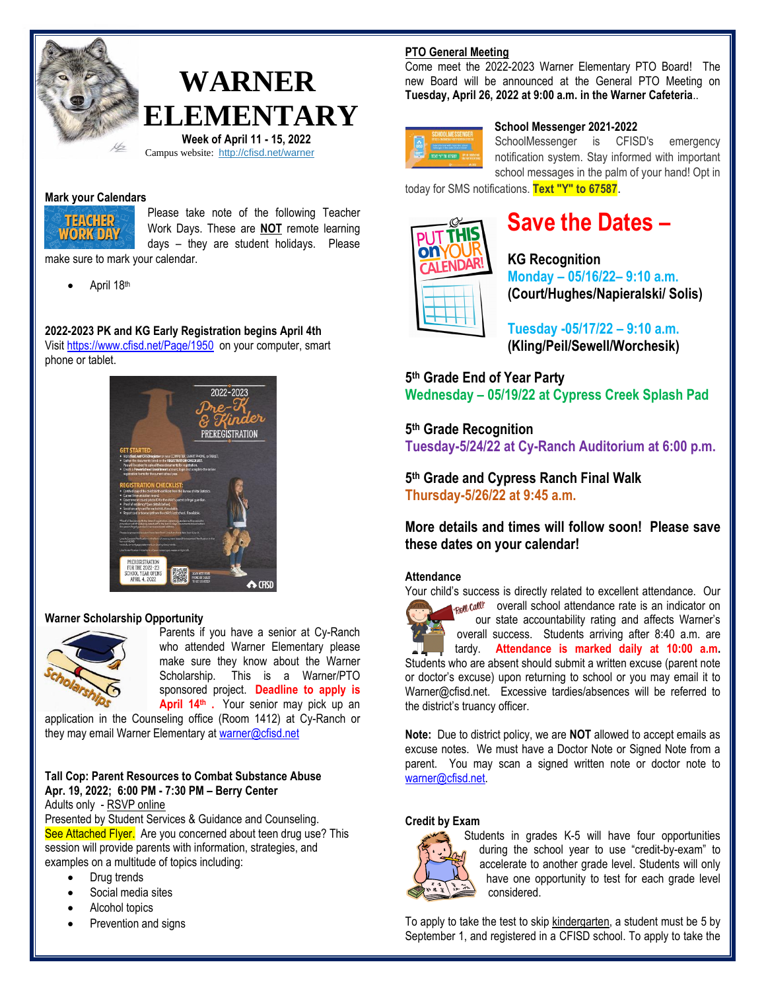

# **WARNER ELEMENTARY**

 **Week of April 11 - 15, 2022** Campus website: <http://cfisd.net/warner>

#### **Mark your Calendars**



Please take note of the following Teacher Work Days. These are **NOT** remote learning days – they are student holidays. Please

make sure to mark your calendar.

April 18th

# **2022-2023 PK and KG Early Registration begins April 4th**

Visit <https://www.cfisd.net/Page/1950> on your computer, smart phone or tablet.



#### **Warner Scholarship Opportunity**



Parents if you have a senior at Cy-Ranch who attended Warner Elementary please make sure they know about the Warner Scholarship. This is a Warner/PTO sponsored project. **Deadline to apply is**  April 14<sup>th</sup> . Your senior may pick up an

application in the Counseling office (Room 1412) at Cy-Ranch or they may email Warner Elementary a[t warner@cfisd.net](mailto:warner@cfisd.net)

# **Tall Cop: Parent Resources to Combat Substance Abuse Apr. 19, 2022; 6:00 PM - 7:30 PM – Berry Center**

Adults only - [RSVP online](https://docs.google.com/forms/d/e/1FAIpQLSfTxBFU5EXPbTSp9CYnibl0yUCWf_PhZywJNQ79lVE8OEEqtg/viewform)

Presented by Student Services & Guidance and Counseling. See Attached Flyer. Are you concerned about teen drug use? This session will provide parents with information, strategies, and examples on a multitude of topics including:

- Drug trends
- Social media sites
- Alcohol topics
- Prevention and signs

# **PTO General Meeting**

Come meet the 2022-2023 Warner Elementary PTO Board! The new Board will be announced at the General PTO Meeting on **Tuesday, April 26, 2022 at 9:00 a.m. in the Warner Cafeteria**..



#### **School Messenger 2021-2022**

SchoolMessenger is CFISD's emergency notification system. Stay informed with important school messages in the palm of your hand! Opt in

today for SMS notifications. **Text "Y" to 67587**.



# **Save the Dates –**

**KG Recognition Monday – 05/16/22– 9:10 a.m. (Court/Hughes/Napieralski/ Solis)**

**Tuesday -05/17/22 – 9:10 a.m. (Kling/Peil/Sewell/Worchesik)**

# **5 th Grade End of Year Party Wednesday – 05/19/22 at Cypress Creek Splash Pad**

# **5 th Grade Recognition**

**Tuesday-5/24/22 at Cy-Ranch Auditorium at 6:00 p.m.**

**5 th Grade and Cypress Ranch Final Walk Thursday-5/26/22 at 9:45 a.m.**

**More details and times will follow soon! Please save these dates on your calendar!**

#### **Attendance**

Your child's success is directly related to excellent attendance. Our

 $\log \omega$  overall school attendance rate is an indicator on our state accountability rating and affects Warner's overall success. Students arriving after 8:40 a.m. are tardy. **Attendance is marked daily at 10:00 a.m.** 

Students who are absent should submit a written excuse (parent note or doctor's excuse) upon returning to school or you may email it to Warner@cfisd.net. Excessive tardies/absences will be referred to the district's truancy officer.

**Note:** Due to district policy, we are **NOT** allowed to accept emails as excuse notes. We must have a Doctor Note or Signed Note from a parent. You may scan a signed written note or doctor note to [warner@cfisd.net.](mailto:warner@cfisd.net)

#### **Credit by Exam**



Students in grades K-5 will have four opportunities during the school year to use "credit-by-exam" to accelerate to another grade level. Students will only have one opportunity to test for each grade level considered.

To apply to take the test to skip kindergarten, a student must be 5 by September 1, and registered in a CFISD school. To apply to take the